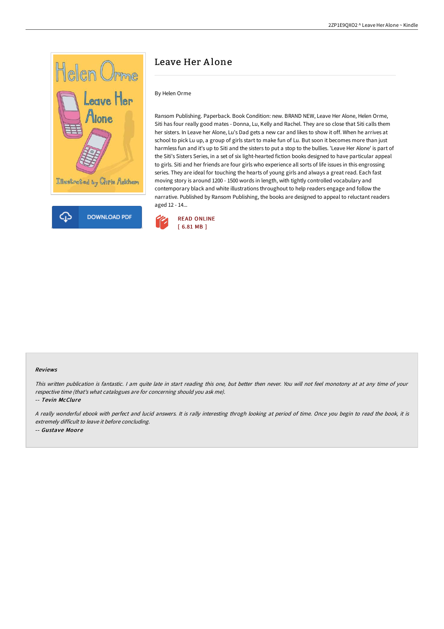

## Leave Her Alone

## By Helen Orme

Ransom Publishing. Paperback. Book Condition: new. BRAND NEW, Leave Her Alone, Helen Orme, Siti has four really good mates - Donna, Lu, Kelly and Rachel. They are so close that Siti calls them her sisters. In Leave her Alone, Lu's Dad gets a new car and likes to show it off. When he arrives at school to pick Lu up, a group of girls start to make fun of Lu. But soon it becomes more than just harmless fun and it's up to Siti and the sisters to put a stop to the bullies. 'Leave Her Alone' is part of the Siti's Sisters Series, in a set of six light-hearted fiction books designed to have particular appeal to girls. Siti and her friends are four girls who experience all sorts of life issues in this engrossing series. They are ideal for touching the hearts of young girls and always a great read. Each fast moving story is around 1200 - 1500 words in length, with tightly controlled vocabulary and contemporary black and white illustrations throughout to help readers engage and follow the narrative. Published by Ransom Publishing, the books are designed to appeal to reluctant readers aged 12 - 14...



## Reviews

This written publication is fantastic. <sup>I</sup> am quite late in start reading this one, but better then never. You will not feel monotony at at any time of your respective time (that's what catalogues are for concerning should you ask me).

-- Tevin McClure

<sup>A</sup> really wonderful ebook with perfect and lucid answers. It is rally interesting throgh looking at period of time. Once you begin to read the book, it is extremely difficult to leave it before concluding. -- Gustave Moore